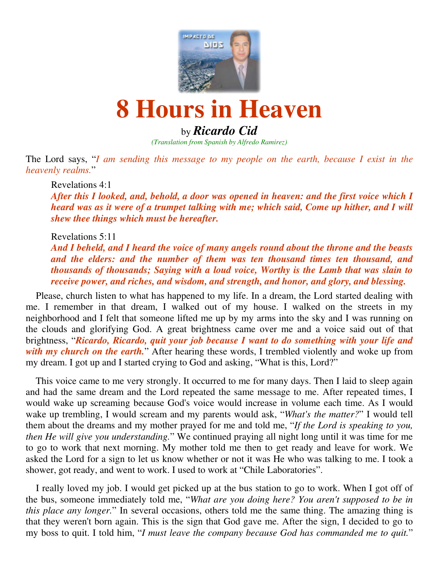

# **8 Hours in Heaven**

## by *Ricardo Cid*

*(Translation from Spanish by Alfredo Ramirez)*

The Lord says, "*I am sending this message to my people on the earth, because I exist in the heavenly realms.*"

Revelations 4:1

*After this I looked, and, behold, a door was opened in heaven: and the first voice which I heard was as it were of a trumpet talking with me; which said, Come up hither, and I will shew thee things which must be hereafter.* 

Revelations 5:11

*And I beheld, and I heard the voice of many angels round about the throne and the beasts and the elders: and the number of them was ten thousand times ten thousand, and thousands of thousands; Saying with a loud voice, Worthy is the Lamb that was slain to receive power, and riches, and wisdom, and strength, and honor, and glory, and blessing.*

 Please, church listen to what has happened to my life. In a dream, the Lord started dealing with me. I remember in that dream, I walked out of my house. I walked on the streets in my neighborhood and I felt that someone lifted me up by my arms into the sky and I was running on the clouds and glorifying God. A great brightness came over me and a voice said out of that brightness, "*Ricardo, Ricardo, quit your job because I want to do something with your life and with my church on the earth.*" After hearing these words, I trembled violently and woke up from my dream. I got up and I started crying to God and asking, "What is this, Lord?"

 This voice came to me very strongly. It occurred to me for many days. Then I laid to sleep again and had the same dream and the Lord repeated the same message to me. After repeated times, I would wake up screaming because God's voice would increase in volume each time. As I would wake up trembling, I would scream and my parents would ask, "*What's the matter?*" I would tell them about the dreams and my mother prayed for me and told me, "*If the Lord is speaking to you, then He will give you understanding.*" We continued praying all night long until it was time for me to go to work that next morning. My mother told me then to get ready and leave for work. We asked the Lord for a sign to let us know whether or not it was He who was talking to me. I took a shower, got ready, and went to work. I used to work at "Chile Laboratories".

 I really loved my job. I would get picked up at the bus station to go to work. When I got off of the bus, someone immediately told me, "*What are you doing here? You aren't supposed to be in this place any longer.*" In several occasions, others told me the same thing. The amazing thing is that they weren't born again. This is the sign that God gave me. After the sign, I decided to go to my boss to quit. I told him, "*I must leave the company because God has commanded me to quit.*"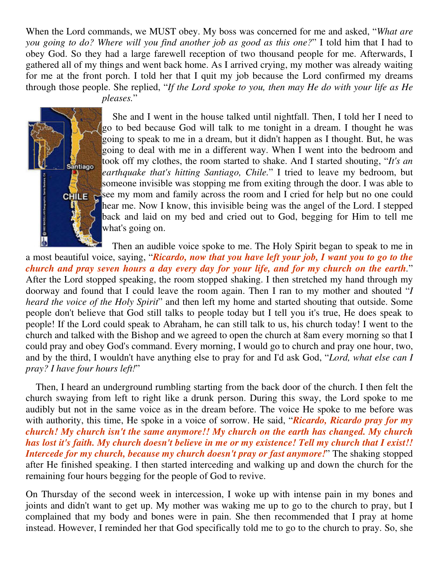When the Lord commands, we MUST obey. My boss was concerned for me and asked, "*What are you going to do? Where will you find another job as good as this one?*" I told him that I had to obey God. So they had a large farewell reception of two thousand people for me. Afterwards, I gathered all of my things and went back home. As I arrived crying, my mother was already waiting for me at the front porch. I told her that I quit my job because the Lord confirmed my dreams through those people. She replied, "*If the Lord spoke to you, then may He do with your life as He pleases.*"



 She and I went in the house talked until nightfall. Then, I told her I need to go to bed because God will talk to me tonight in a dream. I thought he was going to speak to me in a dream, but it didn't happen as I thought. But, he was going to deal with me in a different way. When I went into the bedroom and took off my clothes, the room started to shake. And I started shouting, "*It's an earthquake that's hitting Santiago, Chile.*" I tried to leave my bedroom, but someone invisible was stopping me from exiting through the door. I was able to  $c$ **EX** ee my mom and family across the room and I cried for help but no one could hear me. Now I know, this invisible being was the angel of the Lord. I stepped back and laid on my bed and cried out to God, begging for Him to tell me what's going on.

 Then an audible voice spoke to me. The Holy Spirit began to speak to me in a most beautiful voice, saying, "*Ricardo, now that you have left your job, I want you to go to the church and pray seven hours a day every day for your life, and for my church on the earth.*" After the Lord stopped speaking, the room stopped shaking. I then stretched my hand through my doorway and found that I could leave the room again. Then I ran to my mother and shouted "*I heard the voice of the Holy Spirit*" and then left my home and started shouting that outside. Some people don't believe that God still talks to people today but I tell you it's true, He does speak to people! If the Lord could speak to Abraham, he can still talk to us, his church today! I went to the church and talked with the Bishop and we agreed to open the church at 8am every morning so that I could pray and obey God's command. Every morning, I would go to church and pray one hour, two, and by the third, I wouldn't have anything else to pray for and I'd ask God, "*Lord, what else can I pray? I have four hours left!*"

 Then, I heard an underground rumbling starting from the back door of the church. I then felt the church swaying from left to right like a drunk person. During this sway, the Lord spoke to me audibly but not in the same voice as in the dream before. The voice He spoke to me before was with authority, this time, He spoke in a voice of sorrow. He said, "*Ricardo, Ricardo pray for my church! My church isn't the same anymore!! My church on the earth has changed. My church has lost it's faith. My church doesn't believe in me or my existence! Tell my church that I exist!! Intercede for my church, because my church doesn't pray or fast anymore!*" The shaking stopped after He finished speaking. I then started interceding and walking up and down the church for the remaining four hours begging for the people of God to revive.

On Thursday of the second week in intercession, I woke up with intense pain in my bones and joints and didn't want to get up. My mother was waking me up to go to the church to pray, but I complained that my body and bones were in pain. She then recommended that I pray at home instead. However, I reminded her that God specifically told me to go to the church to pray. So, she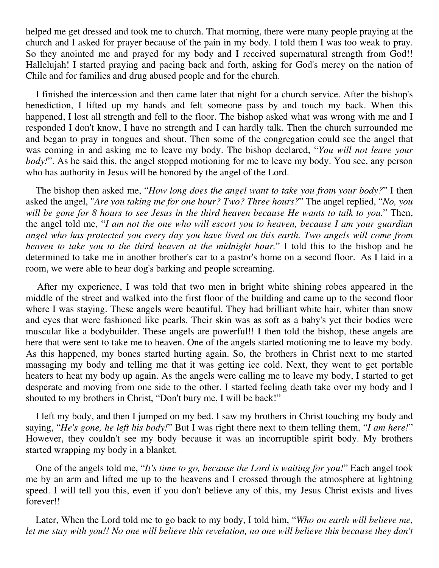helped me get dressed and took me to church. That morning, there were many people praying at the church and I asked for prayer because of the pain in my body. I told them I was too weak to pray. So they anointed me and prayed for my body and I received supernatural strength from God!! Hallelujah! I started praying and pacing back and forth, asking for God's mercy on the nation of Chile and for families and drug abused people and for the church.

 I finished the intercession and then came later that night for a church service. After the bishop's benediction, I lifted up my hands and felt someone pass by and touch my back. When this happened, I lost all strength and fell to the floor. The bishop asked what was wrong with me and I responded I don't know, I have no strength and I can hardly talk. Then the church surrounded me and began to pray in tongues and shout. Then some of the congregation could see the angel that was coming in and asking me to leave my body. The bishop declared, "*You will not leave your body!*". As he said this, the angel stopped motioning for me to leave my body. You see, any person who has authority in Jesus will be honored by the angel of the Lord.

 The bishop then asked me, "*How long does the angel want to take you from your body?*" I then asked the angel, "*Are you taking me for one hour? Two? Three hours?*" The angel replied, "*No, you will be gone for 8 hours to see Jesus in the third heaven because He wants to talk to you.*" Then, the angel told me, "*I am not the one who will escort you to heaven, because I am your guardian angel who has protected you every day you have lived on this earth. Two angels will come from heaven to take you to the third heaven at the midnight hour.*" I told this to the bishop and he determined to take me in another brother's car to a pastor's home on a second floor. As I laid in a room, we were able to hear dog's barking and people screaming.

 After my experience, I was told that two men in bright white shining robes appeared in the middle of the street and walked into the first floor of the building and came up to the second floor where I was staying. These angels were beautiful. They had brilliant white hair, whiter than snow and eyes that were fashioned like pearls. Their skin was as soft as a baby's yet their bodies were muscular like a bodybuilder. These angels are powerful!! I then told the bishop, these angels are here that were sent to take me to heaven. One of the angels started motioning me to leave my body. As this happened, my bones started hurting again. So, the brothers in Christ next to me started massaging my body and telling me that it was getting ice cold. Next, they went to get portable heaters to heat my body up again. As the angels were calling me to leave my body, I started to get desperate and moving from one side to the other. I started feeling death take over my body and I shouted to my brothers in Christ, "Don't bury me, I will be back!"

 I left my body, and then I jumped on my bed. I saw my brothers in Christ touching my body and saying, "*He's gone, he left his body!*" But I was right there next to them telling them, "*I am here!*" However, they couldn't see my body because it was an incorruptible spirit body. My brothers started wrapping my body in a blanket.

 One of the angels told me, "*It's time to go, because the Lord is waiting for you!*" Each angel took me by an arm and lifted me up to the heavens and I crossed through the atmosphere at lightning speed. I will tell you this, even if you don't believe any of this, my Jesus Christ exists and lives forever!!

 Later, When the Lord told me to go back to my body, I told him, "*Who on earth will believe me, let me stay with you!! No one will believe this revelation, no one will believe this because they don't*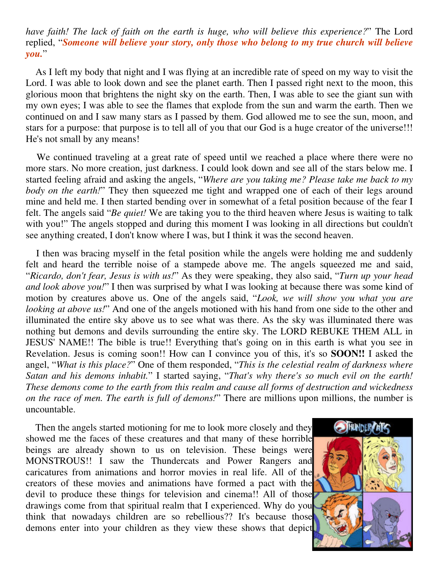### *have faith! The lack of faith on the earth is huge, who will believe this experience?*" The Lord replied, "*Someone will believe your story, only those who belong to my true church will believe you.*"

 As I left my body that night and I was flying at an incredible rate of speed on my way to visit the Lord. I was able to look down and see the planet earth. Then I passed right next to the moon, this glorious moon that brightens the night sky on the earth. Then, I was able to see the giant sun with my own eyes; I was able to see the flames that explode from the sun and warm the earth. Then we continued on and I saw many stars as I passed by them. God allowed me to see the sun, moon, and stars for a purpose: that purpose is to tell all of you that our God is a huge creator of the universe!!! He's not small by any means!

 We continued traveling at a great rate of speed until we reached a place where there were no more stars. No more creation, just darkness. I could look down and see all of the stars below me. I started feeling afraid and asking the angels, "*Where are you taking me? Please take me back to my body on the earth!*" They then squeezed me tight and wrapped one of each of their legs around mine and held me. I then started bending over in somewhat of a fetal position because of the fear I felt. The angels said "*Be quiet!* We are taking you to the third heaven where Jesus is waiting to talk with you!" The angels stopped and during this moment I was looking in all directions but couldn't see anything created, I don't know where I was, but I think it was the second heaven.

 I then was bracing myself in the fetal position while the angels were holding me and suddenly felt and heard the terrible noise of a stampede above me. The angels squeezed me and said, "*Ricardo, don't fear, Jesus is with us!*" As they were speaking, they also said, "*Turn up your head and look above you!*" I then was surprised by what I was looking at because there was some kind of motion by creatures above us. One of the angels said, "*Look, we will show you what you are looking at above us!*" And one of the angels motioned with his hand from one side to the other and illuminated the entire sky above us to see what was there. As the sky was illuminated there was nothing but demons and devils surrounding the entire sky. The LORD REBUKE THEM ALL in JESUS' NAME!! The bible is true!! Everything that's going on in this earth is what you see in Revelation. Jesus is coming soon!! How can I convince you of this, it's so **SOON!!** I asked the angel, "*What is this place?*" One of them responded, "*This is the celestial realm of darkness where Satan and his demons inhabit.*" I started saying, "*That's why there's so much evil on the earth! These demons come to the earth from this realm and cause all forms of destruction and wickedness on the race of men. The earth is full of demons!*" There are millions upon millions, the number is uncountable.

 Then the angels started motioning for me to look more closely and they showed me the faces of these creatures and that many of these horrible beings are already shown to us on television. These beings were MONSTROUS!! I saw the Thundercats and Power Rangers and caricatures from animations and horror movies in real life. All of the creators of these movies and animations have formed a pact with the devil to produce these things for television and cinema!! All of those drawings come from that spiritual realm that I experienced. Why do you think that nowadays children are so rebellious?? It's because those demons enter into your children as they view these shows that depict

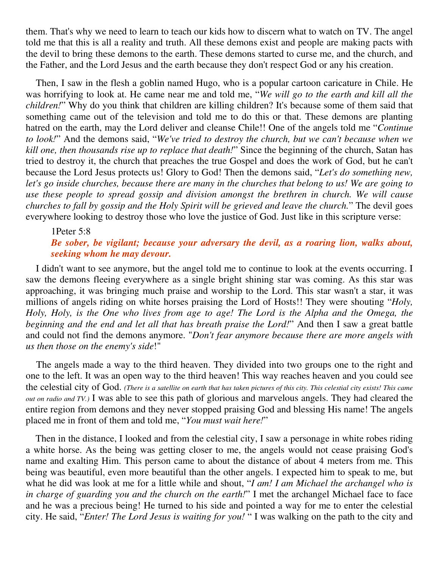them. That's why we need to learn to teach our kids how to discern what to watch on TV. The angel told me that this is all a reality and truth. All these demons exist and people are making pacts with the devil to bring these demons to the earth. These demons started to curse me, and the church, and the Father, and the Lord Jesus and the earth because they don't respect God or any his creation.

 Then, I saw in the flesh a goblin named Hugo, who is a popular cartoon caricature in Chile. He was horrifying to look at. He came near me and told me, "*We will go to the earth and kill all the children!*" Why do you think that children are killing children? It's because some of them said that something came out of the television and told me to do this or that. These demons are planting hatred on the earth, may the Lord deliver and cleanse Chile!! One of the angels told me "*Continue to look!*" And the demons said, "*We've tried to destroy the church, but we can't because when we kill one, then thousands rise up to replace that death!*" Since the beginning of the church, Satan has tried to destroy it, the church that preaches the true Gospel and does the work of God, but he can't because the Lord Jesus protects us! Glory to God! Then the demons said, "*Let's do something new, let's go inside churches, because there are many in the churches that belong to us! We are going to use these people to spread gossip and division amongst the brethren in church. We will cause churches to fall by gossip and the Holy Spirit will be grieved and leave the church.*" The devil goes everywhere looking to destroy those who love the justice of God. Just like in this scripture verse:

#### 1Peter 5:8 *Be sober, be vigilant; because your adversary the devil, as a roaring lion, walks about, seeking whom he may devour.*

 I didn't want to see anymore, but the angel told me to continue to look at the events occurring. I saw the demons fleeing everywhere as a single bright shining star was coming. As this star was approaching, it was bringing much praise and worship to the Lord. This star wasn't a star, it was millions of angels riding on white horses praising the Lord of Hosts!! They were shouting "*Holy, Holy, Holy, is the One who lives from age to age! The Lord is the Alpha and the Omega, the beginning and the end and let all that has breath praise the Lord!*" And then I saw a great battle and could not find the demons anymore. "*Don't fear anymore because there are more angels with us then those on the enemy's side*!"

 The angels made a way to the third heaven. They divided into two groups one to the right and one to the left. It was an open way to the third heaven! This way reaches heaven and you could see the celestial city of God. *(There is a satellite on earth that has taken pictures of this city. This celestial city exists! This came out on radio and TV.)* I was able to see this path of glorious and marvelous angels. They had cleared the entire region from demons and they never stopped praising God and blessing His name! The angels placed me in front of them and told me, "*You must wait here!*"

 Then in the distance, I looked and from the celestial city, I saw a personage in white robes riding a white horse. As the being was getting closer to me, the angels would not cease praising God's name and exalting Him. This person came to about the distance of about 4 meters from me. This being was beautiful, even more beautiful than the other angels. I expected him to speak to me, but what he did was look at me for a little while and shout, "*I am! I am Michael the archangel who is in charge of guarding you and the church on the earth!*" I met the archangel Michael face to face and he was a precious being! He turned to his side and pointed a way for me to enter the celestial city. He said, "*Enter! The Lord Jesus is waiting for you!* " I was walking on the path to the city and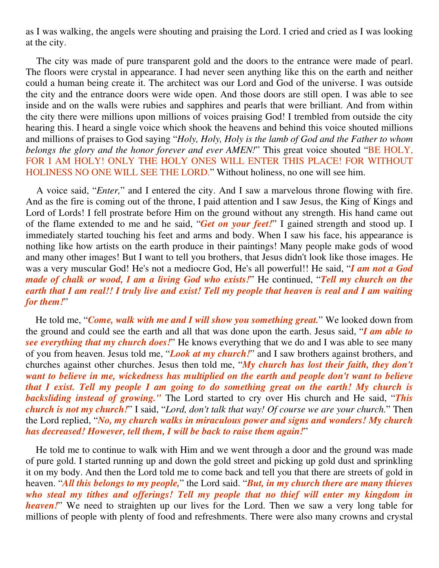as I was walking, the angels were shouting and praising the Lord. I cried and cried as I was looking at the city.

 The city was made of pure transparent gold and the doors to the entrance were made of pearl. The floors were crystal in appearance. I had never seen anything like this on the earth and neither could a human being create it. The architect was our Lord and God of the universe. I was outside the city and the entrance doors were wide open. And those doors are still open. I was able to see inside and on the walls were rubies and sapphires and pearls that were brilliant. And from within the city there were millions upon millions of voices praising God! I trembled from outside the city hearing this. I heard a single voice which shook the heavens and behind this voice shouted millions and millions of praises to God saying "*Holy, Holy, Holy is the lamb of God and the Father to whom belongs the glory and the honor forever and ever AMEN!*" This great voice shouted "BE HOLY, FOR I AM HOLY! ONLY THE HOLY ONES WILL ENTER THIS PLACE! FOR WITHOUT HOLINESS NO ONE WILL SEE THE LORD." Without holiness, no one will see him.

 A voice said, "*Enter,*" and I entered the city. And I saw a marvelous throne flowing with fire. And as the fire is coming out of the throne, I paid attention and I saw Jesus, the King of Kings and Lord of Lords! I fell prostrate before Him on the ground without any strength. His hand came out of the flame extended to me and he said, "*Get on your feet!*" I gained strength and stood up. I immediately started touching his feet and arms and body. When I saw his face, his appearance is nothing like how artists on the earth produce in their paintings! Many people make gods of wood and many other images! But I want to tell you brothers, that Jesus didn't look like those images. He was a very muscular God! He's not a mediocre God, He's all powerful!! He said, "*I am not a God made of chalk or wood, I am a living God who exists!*" He continued, "*Tell my church on the earth that I am real!! I truly live and exist! Tell my people that heaven is real and I am waiting for them!*"

 He told me, "*Come, walk with me and I will show you something great.*" We looked down from the ground and could see the earth and all that was done upon the earth. Jesus said, "*I am able to see everything that my church does!*" He knows everything that we do and I was able to see many of you from heaven. Jesus told me, "*Look at my church!*" and I saw brothers against brothers, and churches against other churches. Jesus then told me, "*My church has lost their faith, they don't want to believe in me, wickedness has multiplied on the earth and people don't want to believe that I exist. Tell my people I am going to do something great on the earth! My church is backsliding instead of growing."* The Lord started to cry over His church and He said, "*This church is not my church!*" I said, "*Lord, don't talk that way! Of course we are your church.*" Then the Lord replied, "*No, my church walks in miraculous power and signs and wonders! My church has decreased! However, tell them, I will be back to raise them again!*"

 He told me to continue to walk with Him and we went through a door and the ground was made of pure gold. I started running up and down the gold street and picking up gold dust and sprinkling it on my body. And then the Lord told me to come back and tell you that there are streets of gold in heaven. "*All this belongs to my people,*" the Lord said. "*But, in my church there are many thieves who steal my tithes and offerings! Tell my people that no thief will enter my kingdom in heaven!*" We need to straighten up our lives for the Lord. Then we saw a very long table for millions of people with plenty of food and refreshments. There were also many crowns and crystal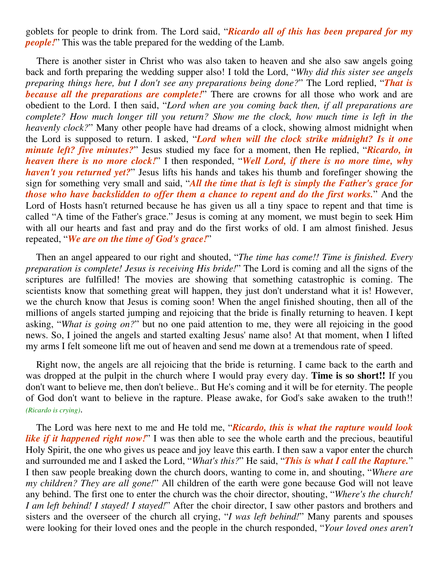goblets for people to drink from. The Lord said, "*Ricardo all of this has been prepared for my people!*" This was the table prepared for the wedding of the Lamb.

 There is another sister in Christ who was also taken to heaven and she also saw angels going back and forth preparing the wedding supper also! I told the Lord, "*Why did this sister see angels preparing things here, but I don't see any preparations being done?*" The Lord replied, "*That is because all the preparations are complete!*" There are crowns for all those who work and are obedient to the Lord. I then said, "*Lord when are you coming back then, if all preparations are complete? How much longer till you return? Show me the clock, how much time is left in the heavenly clock?*" Many other people have had dreams of a clock, showing almost midnight when the Lord is supposed to return. I asked, "*Lord when will the clock strike midnight? Is it one minute left? five minutes?*" Jesus studied my face for a moment, then He replied, "*Ricardo, in heaven there is no more clock!*" I then responded, "*Well Lord, if there is no more time, why haven't you returned yet?*" Jesus lifts his hands and takes his thumb and forefinger showing the sign for something very small and said, "*All the time that is left is simply the Father's grace for those who have backslidden to offer them a chance to repent and do the first works.*" And the Lord of Hosts hasn't returned because he has given us all a tiny space to repent and that time is called "A time of the Father's grace." Jesus is coming at any moment, we must begin to seek Him with all our hearts and fast and pray and do the first works of old. I am almost finished. Jesus repeated, "*We are on the time of God's grace!*"

 Then an angel appeared to our right and shouted, "*The time has come!! Time is finished. Every preparation is complete! Jesus is receiving His bride!*" The Lord is coming and all the signs of the scriptures are fulfilled! The movies are showing that something catastrophic is coming. The scientists know that something great will happen, they just don't understand what it is! However, we the church know that Jesus is coming soon! When the angel finished shouting, then all of the millions of angels started jumping and rejoicing that the bride is finally returning to heaven. I kept asking, "*What is going on?*" but no one paid attention to me, they were all rejoicing in the good news. So, I joined the angels and started exalting Jesus' name also! At that moment, when I lifted my arms I felt someone lift me out of heaven and send me down at a tremendous rate of speed.

 Right now, the angels are all rejoicing that the bride is returning. I came back to the earth and was dropped at the pulpit in the church where I would pray every day. **Time is so short!!** If you don't want to believe me, then don't believe.. But He's coming and it will be for eternity. The people of God don't want to believe in the rapture. Please awake, for God's sake awaken to the truth!! *(Ricardo is crying)*.

 The Lord was here next to me and He told me, "*Ricardo, this is what the rapture would look like if it happened right now!*" I was then able to see the whole earth and the precious, beautiful Holy Spirit, the one who gives us peace and joy leave this earth. I then saw a vapor enter the church and surrounded me and I asked the Lord, "*What's this?*" He said, "*This is what I call the Rapture.*" I then saw people breaking down the church doors, wanting to come in, and shouting, "*Where are my children? They are all gone!*" All children of the earth were gone because God will not leave any behind. The first one to enter the church was the choir director, shouting, "*Where's the church! I am left behind! I stayed! I stayed!*" After the choir director, I saw other pastors and brothers and sisters and the overseer of the church all crying, "*I was left behind!*" Many parents and spouses were looking for their loved ones and the people in the church responded, "*Your loved ones aren't*